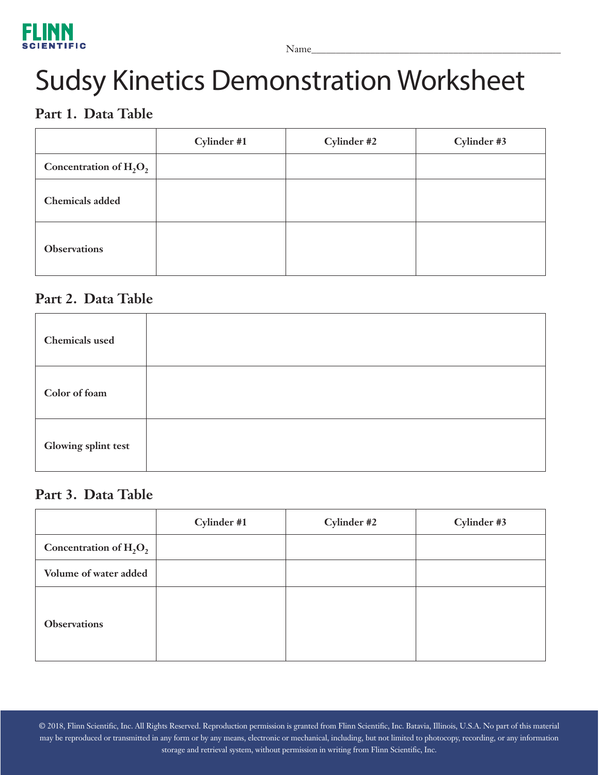

# Sudsy Kinetics Demonstration Worksheet

## **Part 1. Data Table**

|                           | Cylinder #1 | Cylinder #2 | Cylinder #3 |
|---------------------------|-------------|-------------|-------------|
| Concentration of $H_2O_2$ |             |             |             |
| <b>Chemicals</b> added    |             |             |             |
| <b>Observations</b>       |             |             |             |

### **Part 2. Data Table**

| <b>Chemicals</b> used |  |
|-----------------------|--|
| Color of foam         |  |
| Glowing splint test   |  |

#### **Part 3. Data Table**

|                           | Cylinder #1 | Cylinder #2 | Cylinder #3 |
|---------------------------|-------------|-------------|-------------|
| Concentration of $H_2O_2$ |             |             |             |
| Volume of water added     |             |             |             |
| <b>Observations</b>       |             |             |             |

© 2018, Flinn Scientific, Inc. All Rights Reserved. Reproduction permission is granted from Flinn Scientific, Inc. Batavia, Illinois, U.S.A. No part of this material may be reproduced or transmitted in any form or by any means, electronic or mechanical, including, but not limited to photocopy, recording, or any information storage and retrieval system, without permission in writing from Flinn Scientific, Inc.